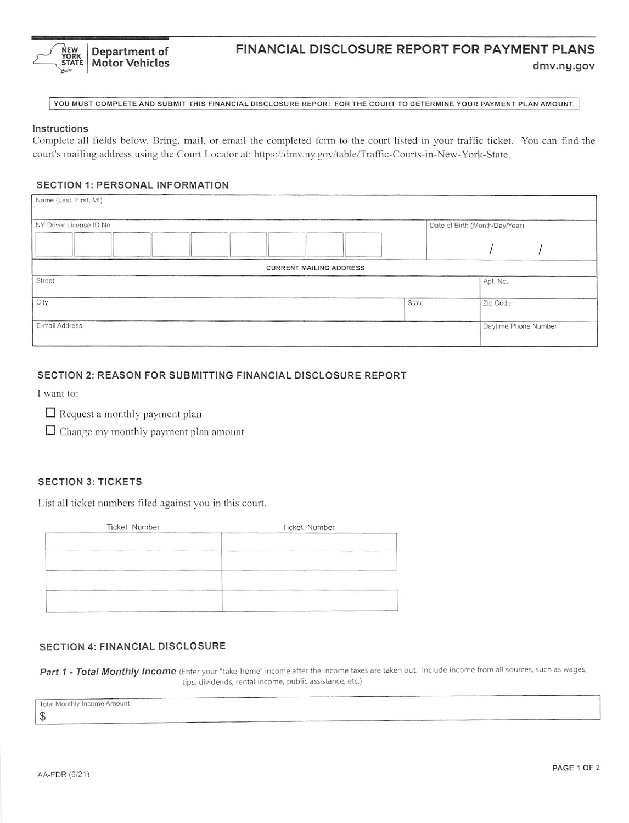

# FINANCIAL DISCLOSURE REPORT FOR PAYMENT PLANS

dmv.ny.gov

YOU MUST COMPLETE AND SUBMIT THIS FINANCIAL DISCLOSURE REPORT FOR THE COURT TO DETERMINE YOUR PAYMENT PLAN AMOUNT.

#### Instructions

Complete all fields below. Bring, mail, or email the completed form to the court listed in your traffic ticket. You can find the court's mailing address using the Court Locator at: https://dmv.ny.gov/table/Traffic-Courts-in-New-York-State.

#### **SECTION 1: PERSONAL INFORMATION**

| Name (Last, First, MI)         |                                |                      |
|--------------------------------|--------------------------------|----------------------|
| NY Driver License ID No.       | Date of Birth (Month/Day/Year) |                      |
|                                |                                |                      |
| <b>CURRENT MAILING ADDRESS</b> |                                |                      |
| Street                         |                                | Apt. No.             |
| City                           | State                          | Zip Code             |
| E-mail Address                 |                                | Daytime Phone Number |

## SECTION 2: REASON FOR SUBMITTING FINANCIAL DISCLOSURE REPORT

I want to:

- $\Box$  Request a monthly payment plan
- $\Box$  Change my monthly payment plan amount

## **SECTION 3: TICKETS**

List all ticket numbers filed against you in this court.

| Ticket Number | Ticket Number |
|---------------|---------------|
|               |               |
|               |               |
|               |               |
|               |               |
|               |               |
|               |               |

#### **SECTION 4: FINANCIAL DISCLOSURE**

Part 1 - Total Monthly Income (Enter your "take-home" income after the income taxes are taken out. Include income from all sources, such as wages, tips, dividends, rental income, public assistance, etc.)

**Total Monthly Income Amount** 

 $\mathbb{S}$